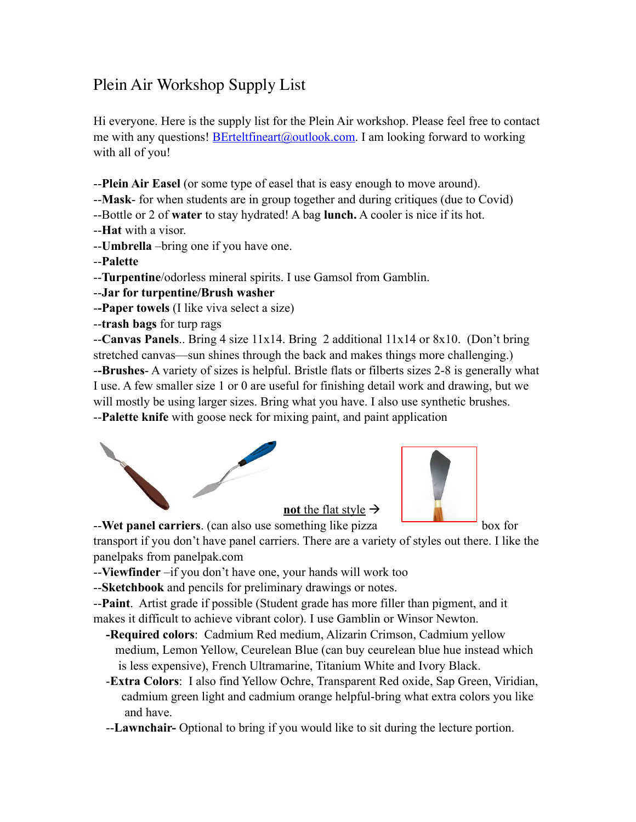## Plein Air Workshop Supply List

Hi everyone. Here is the supply list for the Plein Air workshop. Please feel free to contact me with any questions! **[BErteltfineart@outlook.com](mailto:BErteltfineart@outlook.com).** I am looking forward to working with all of you!

--**Plein Air Easel** (or some type of easel that is easy enough to move around).

--**Mask**- for when students are in group together and during critiques (due to Covid)

--Bottle or 2 of **water** to stay hydrated! A bag **lunch.** A cooler is nice if its hot.

--**Hat** with a visor.

--**Umbrella** –bring one if you have one.

--**Palette**

--**Turpentine**/odorless mineral spirits. I use Gamsol from Gamblin.

--**Jar for turpentine/Brush washer** 

-**-Paper towels** (I like viva select a size)

--**trash bags** for turp rags

--**Canvas Panels**.. Bring 4 size 11x14. Bring 2 additional 11x14 or 8x10. (Don't bring stretched canvas—sun shines through the back and makes things more challenging.) -**-Brushes**- A variety of sizes is helpful. Bristle flats or filberts sizes 2-8 is generally what I use. A few smaller size 1 or 0 are useful for finishing detail work and drawing, but we will mostly be using larger sizes. Bring what you have. I also use synthetic brushes. --**Palette knife** with goose neck for mixing paint, and paint application





--**Wet panel carriers**. (can also use something like pizza box for transport if you don't have panel carriers. There are a variety of styles out there. I like the panelpaks from panelpak.com

--**Viewfinder** –if you don't have one, your hands will work too

--**Sketchbook** and pencils for preliminary drawings or notes.

--**Paint**. Artist grade if possible (Student grade has more filler than pigment, and it makes it difficult to achieve vibrant color). I use Gamblin or Winsor Newton.

- **-Required colors**: Cadmium Red medium, Alizarin Crimson, Cadmium yellow medium, Lemon Yellow, Ceurelean Blue (can buy ceurelean blue hue instead which is less expensive), French Ultramarine, Titanium White and Ivory Black.
- -**Extra Colors**: I also find Yellow Ochre, Transparent Red oxide, Sap Green, Viridian, cadmium green light and cadmium orange helpful-bring what extra colors you like and have.

--**Lawnchair-** Optional to bring if you would like to sit during the lecture portion.